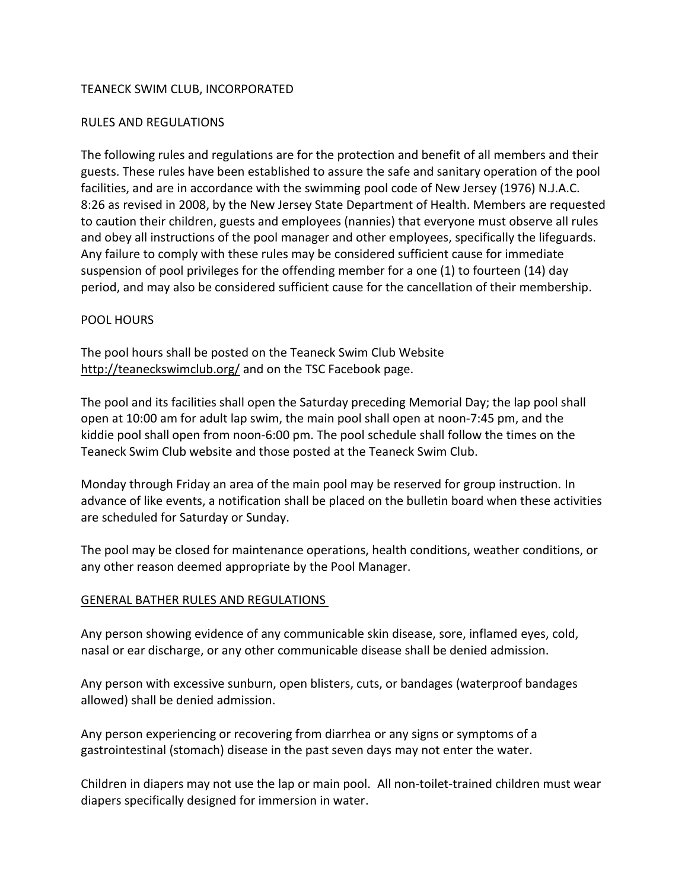### TEANECK SWIM CLUB, INCORPORATED

### RULES AND REGULATIONS

The following rules and regulations are for the protection and benefit of all members and their guests. These rules have been established to assure the safe and sanitary operation of the pool facilities, and are in accordance with the swimming pool code of New Jersey (1976) N.J.A.C. 8:26 as revised in 2008, by the New Jersey State Department of Health. Members are requested to caution their children, guests and employees (nannies) that everyone must observe all rules and obey all instructions of the pool manager and other employees, specifically the lifeguards. Any failure to comply with these rules may be considered sufficient cause for immediate suspension of pool privileges for the offending member for a one (1) to fourteen (14) day period, and may also be considered sufficient cause for the cancellation of their membership.

#### POOL HOURS

The pool hours shall be posted on the Teaneck Swim Club Website [http://teaneckswimclub.org/](about:blank) and on the TSC Facebook page.

The pool and its facilities shall open the Saturday preceding Memorial Day; the lap pool shall open at 10:00 am for adult lap swim, the main pool shall open at noon-7:45 pm, and the kiddie pool shall open from noon-6:00 pm. The pool schedule shall follow the times on the Teaneck Swim Club website and those posted at the Teaneck Swim Club.

Monday through Friday an area of the main pool may be reserved for group instruction. In advance of like events, a notification shall be placed on the bulletin board when these activities are scheduled for Saturday or Sunday.

The pool may be closed for maintenance operations, health conditions, weather conditions, or any other reason deemed appropriate by the Pool Manager.

### GENERAL BATHER RULES AND REGULATIONS

Any person showing evidence of any communicable skin disease, sore, inflamed eyes, cold, nasal or ear discharge, or any other communicable disease shall be denied admission.

Any person with excessive sunburn, open blisters, cuts, or bandages (waterproof bandages allowed) shall be denied admission.

Any person experiencing or recovering from diarrhea or any signs or symptoms of a gastrointestinal (stomach) disease in the past seven days may not enter the water.

Children in diapers may not use the lap or main pool. All non-toilet-trained children must wear diapers specifically designed for immersion in water.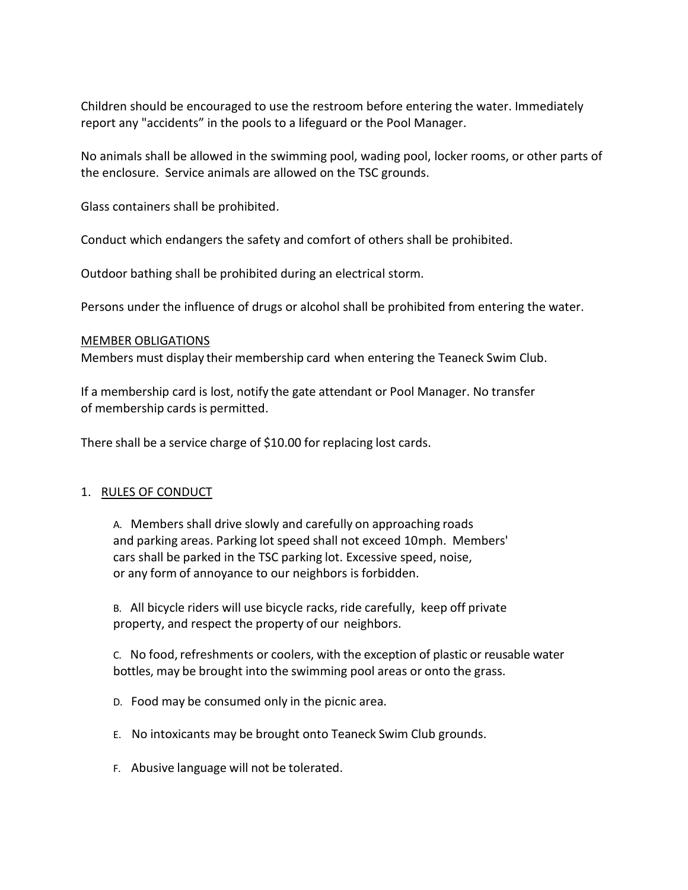Children should be encouraged to use the restroom before entering the water. Immediately report any "accidents" in the pools to a lifeguard or the Pool Manager.

No animals shall be allowed in the swimming pool, wading pool, locker rooms, or other parts of the enclosure. Service animals are allowed on the TSC grounds.

Glass containers shall be prohibited.

Conduct which endangers the safety and comfort of others shall be prohibited.

Outdoor bathing shall be prohibited during an electrical storm.

Persons under the influence of drugs or alcohol shall be prohibited from entering the water.

#### MEMBER OBLIGATIONS

Members must display their membership card when entering the Teaneck Swim Club.

If a membership card is lost, notify the gate attendant or Pool Manager. No transfer of membership cards is permitted.

There shall be a service charge of \$10.00 for replacing lost cards.

### 1. RULES OF CONDUCT

A. Members shall drive slowly and carefully on approaching roads and parking areas. Parking lot speed shall not exceed 10mph. Members' cars shall be parked in the TSC parking lot. Excessive speed, noise, or any form of annoyance to our neighbors is forbidden.

B. All bicycle riders will use bicycle racks, ride carefully, keep off private property, and respect the property of our neighbors.

C. No food,refreshments or coolers, with the exception of plastic or reusable water bottles, may be brought into the swimming pool areas or onto the grass.

- D. Food may be consumed only in the picnic area.
- E. No intoxicants may be brought onto Teaneck Swim Club grounds.
- F. Abusive language will not be tolerated.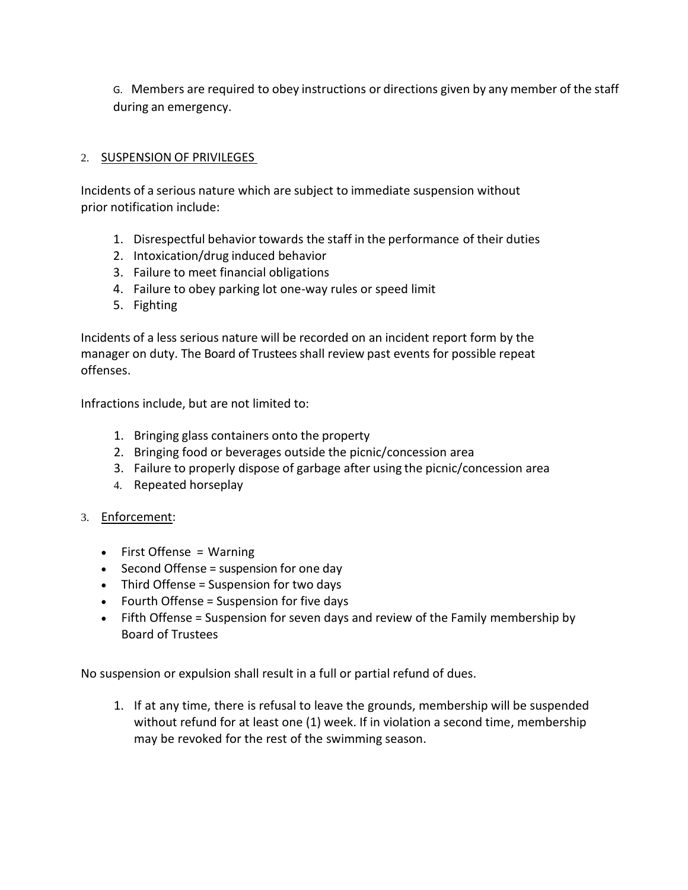G. Members are required to obey instructions or directions given by any member of the staff during an emergency.

### 2. SUSPENSION OF PRIVILEGES

Incidents of a serious nature which are subject to immediate suspension without prior notification include:

- 1. Disrespectful behavior towards the staff in the performance of their duties
- 2. Intoxication/drug induced behavior
- 3. Failure to meet financial obligations
- 4. Failure to obey parking lot one-way rules or speed limit
- 5. Fighting

Incidents of a less serious nature will be recorded on an incident report form by the manager on duty. The Board of Trustees shall review past events for possible repeat offenses.

Infractions include, but are not limited to:

- 1. Bringing glass containers onto the property
- 2. Bringing food or beverages outside the picnic/concession area
- 3. Failure to properly dispose of garbage after using the picnic/concession area
- 4. Repeated horseplay
- 3. Enforcement:
	- First Offense = Warning
	- Second Offense = suspension for one day
	- Third Offense = Suspension for two days
	- Fourth Offense = Suspension for five days
	- Fifth Offense = Suspension for seven days and review of the Family membership by Board of Trustees

No suspension or expulsion shall result in a full or partial refund of dues.

1. If at any time, there is refusal to leave the grounds, membership will be suspended without refund for at least one (1) week. If in violation a second time, membership may be revoked for the rest of the swimming season.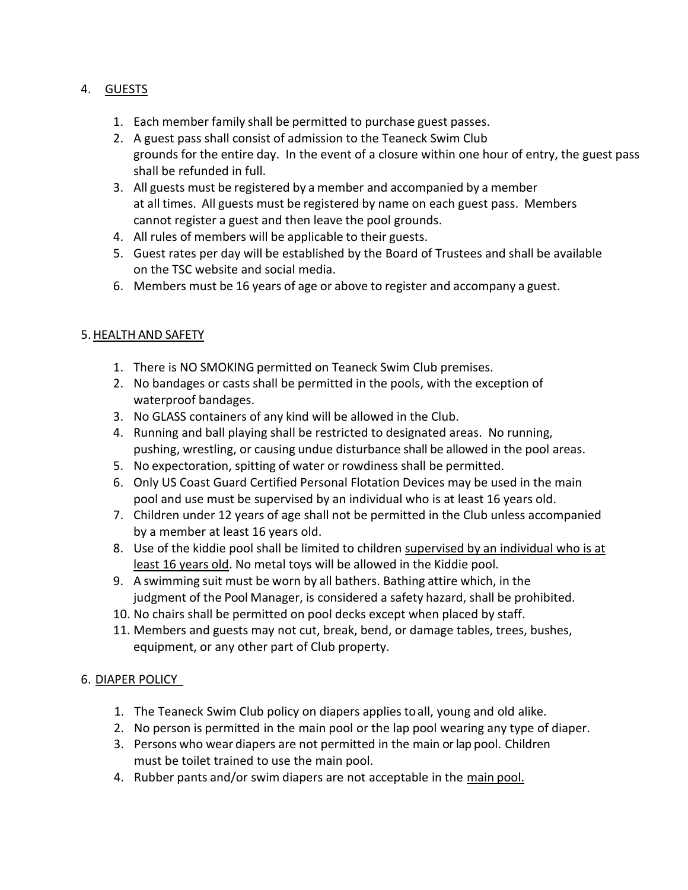# 4. GUESTS

- 1. Each member family shall be permitted to purchase guest passes.
- 2. A guest pass shall consist of admission to the Teaneck Swim Club grounds for the entire day. In the event of a closure within one hour of entry, the guest pass shall be refunded in full.
- 3. All guests must be registered by a member and accompanied by a member at all times. All guests must be registered by name on each guest pass. Members cannot register a guest and then leave the pool grounds.
- 4. All rules of members will be applicable to their guests.
- 5. Guest rates per day will be established by the Board of Trustees and shall be available on the TSC website and social media.
- 6. Members must be 16 years of age or above to register and accompany a guest.

# 5.HEALTH AND SAFETY

- 1. There is NO SMOKING permitted on Teaneck Swim Club premises.
- 2. No bandages or casts shall be permitted in the pools, with the exception of waterproof bandages.
- 3. No GLASS containers of any kind will be allowed in the Club.
- 4. Running and ball playing shall be restricted to designated areas. No running, pushing, wrestling, or causing undue disturbance shall be allowed in the pool areas.
- 5. No expectoration, spitting of water or rowdiness shall be permitted.
- 6. Only US Coast Guard Certified Personal Flotation Devices may be used in the main pool and use must be supervised by an individual who is at least 16 years old.
- 7. Children under 12 years of age shall not be permitted in the Club unless accompanied by a member at least 16 years old.
- 8. Use of the kiddie pool shall be limited to children supervised by an individual who is at least 16 years old. No metal toys will be allowed in the Kiddie pool.
- 9. A swimming suit must be worn by all bathers. Bathing attire which, in the judgment of the Pool Manager, is considered a safety hazard, shall be prohibited.
- 10. No chairs shall be permitted on pool decks except when placed by staff.
- 11. Members and guests may not cut, break, bend, or damage tables, trees, bushes, equipment, or any other part of Club property.

### 6. DIAPER POLICY

- 1. The Teaneck Swim Club policy on diapers applies to all, young and old alike.
- 2. No person is permitted in the main pool or the lap pool wearing any type of diaper.
- 3. Persons who wear diapers are not permitted in the main or lap pool. Children must be toilet trained to use the main pool.
- 4. Rubber pants and/or swim diapers are not acceptable in the main pool.